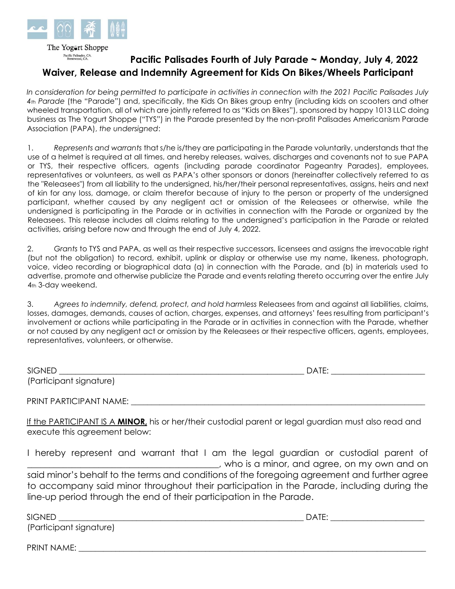

The Yogert Shoppe Pacific Palisades, CA.<br>Brentwood, CA.

## **Pacific Palisades Fourth of July Parade ~ Monday, July 4, 2022 Waiver, Release and Indemnity Agreement for Kids On Bikes/Wheels Participant**

*In consideration for being permitted to participate in activities in connection with the 2021 Pacific Palisades July 4th Parade* (the "Parade") and, specifically, the Kids On Bikes group entry (including kids on scooters and other wheeled transportation, all of which are jointly referred to as "Kids on Bikes"), sponsored by happy 1013 LLC doing business as The Yogurt Shoppe ("TYS") in the Parade presented by the non-profit Palisades Americanism Parade Association (PAPA), *the undersigned*:

1. *Represents and warrants* that s/he is/they are participating in the Parade voluntarily, understands that the use of a helmet is required at all times, and hereby releases, waives, discharges and covenants not to sue PAPA or TYS, their respective officers, agents (including parade coordinator Pageantry Parades), employees, representatives or volunteers, as well as PAPA's other sponsors or donors (hereinafter collectively referred to as the "Releasees") from all liability to the undersigned, his/her/their personal representatives, assigns, heirs and next of kin for any loss, damage, or claim therefor because of injury to the person or property of the undersigned participant, whether caused by any negligent act or omission of the Releasees or otherwise, while the undersigned is participating in the Parade or in activities in connection with the Parade or organized by the Releasees. This release includes all claims relating to the undersigned's participation in the Parade or related activities, arising before now and through the end of July 4, 2022.

2. *Grants* to TYS and PAPA, as well as their respective successors, licensees and assigns the irrevocable right (but not the obligation) to record, exhibit, uplink or display or otherwise use my name, likeness, photograph, voice, video recording or biographical data (a) in connection with the Parade, and (b) in materials used to advertise, promote and otherwise publicize the Parade and events relating thereto occurring over the entire July 4th 3-day weekend.

3. *Agrees to indemnify, defend, protect, and hold harmless* Releasees from and against all liabilities, claims, losses, damages, demands, causes of action, charges, expenses, and attorneys' fees resulting from participant's involvement or actions while participating in the Parade or in activities in connection with the Parade, whether or not caused by any negligent act or omission by the Releasees or their respective officers, agents, employees, representatives, volunteers, or otherwise.

| <b>SIGNED</b>           | <b>DATE</b><br>ے |
|-------------------------|------------------|
| (Participant signature) |                  |

PRINT PARTICIPANT NAME:

If the PARTICIPANT IS A **MINOR,** his or her/their custodial parent or legal guardian must also read and execute this agreement below:

I hereby represent and warrant that I am the legal guardian or custodial parent of \_\_\_\_\_\_\_\_\_\_\_\_\_\_\_\_\_\_\_\_\_\_\_\_\_\_\_\_\_\_\_\_\_\_\_\_\_\_\_\_\_\_\_, who is a minor, and agree, on my own and on said minor's behalf to the terms and conditions of the foregoing agreement and further agree to accompany said minor throughout their participation in the Parade, including during the line-up period through the end of their participation in the Parade.

 $DATE:$ 

(Participant signature)

PRINT NAME: